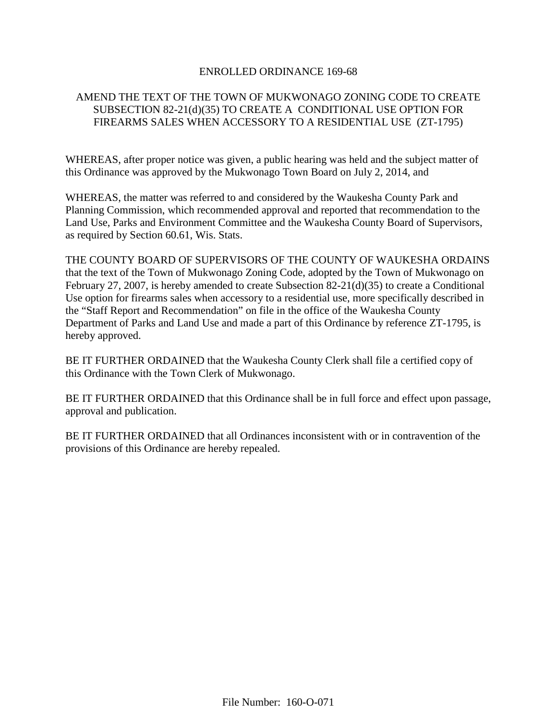# ENROLLED ORDINANCE 169-68

# AMEND THE TEXT OF THE TOWN OF MUKWONAGO ZONING CODE TO CREATE SUBSECTION 82-21(d)(35) TO CREATE A CONDITIONAL USE OPTION FOR FIREARMS SALES WHEN ACCESSORY TO A RESIDENTIAL USE (ZT-1795)

WHEREAS, after proper notice was given, a public hearing was held and the subject matter of this Ordinance was approved by the Mukwonago Town Board on July 2, 2014, and

WHEREAS, the matter was referred to and considered by the Waukesha County Park and Planning Commission, which recommended approval and reported that recommendation to the Land Use, Parks and Environment Committee and the Waukesha County Board of Supervisors, as required by Section 60.61, Wis. Stats.

THE COUNTY BOARD OF SUPERVISORS OF THE COUNTY OF WAUKESHA ORDAINS that the text of the Town of Mukwonago Zoning Code, adopted by the Town of Mukwonago on February 27, 2007, is hereby amended to create Subsection 82-21(d)(35) to create a Conditional Use option for firearms sales when accessory to a residential use, more specifically described in the "Staff Report and Recommendation" on file in the office of the Waukesha County Department of Parks and Land Use and made a part of this Ordinance by reference ZT-1795, is hereby approved.

BE IT FURTHER ORDAINED that the Waukesha County Clerk shall file a certified copy of this Ordinance with the Town Clerk of Mukwonago.

BE IT FURTHER ORDAINED that this Ordinance shall be in full force and effect upon passage, approval and publication.

BE IT FURTHER ORDAINED that all Ordinances inconsistent with or in contravention of the provisions of this Ordinance are hereby repealed.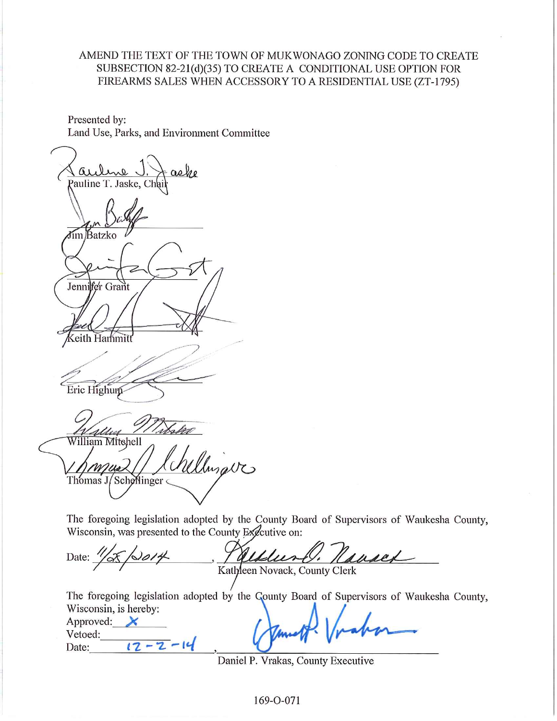# AMEND THE TEXT OF THE TOWN OF MUKWONAGO ZONING CODE TO CREATE SUBSECTION 82-21(d)(35) TO CREATE A CONDITIONAL USE OPTION FOR FIREARMS SALES WHEN ACCESSORY TO A RESIDENTIAL USE (ZT-1795)

Presented by: Land Use, Parks, and Environment Committee

aehe Pauline T. Jaske, Chai Jim Batzko Jennifer Grant eith Hammit Eric Highum 1 d de es William Mitchell Illinava Thomas J/Schellinger

The foregoing legislation adopted by the County Board of Supervisors of Waukesha County, Wisconsin, was presented to the County Executive on:

Date: Kathleen Novack, County Clerk

The foregoing legislation adopted by the County Board of Supervisors of Waukesha County, Wisconsin, is hereby:

| Approved: |  |
|-----------|--|
| Vetoed:   |  |
| Date:     |  |

Daniel P. Vrakas, County Executive

169-O-071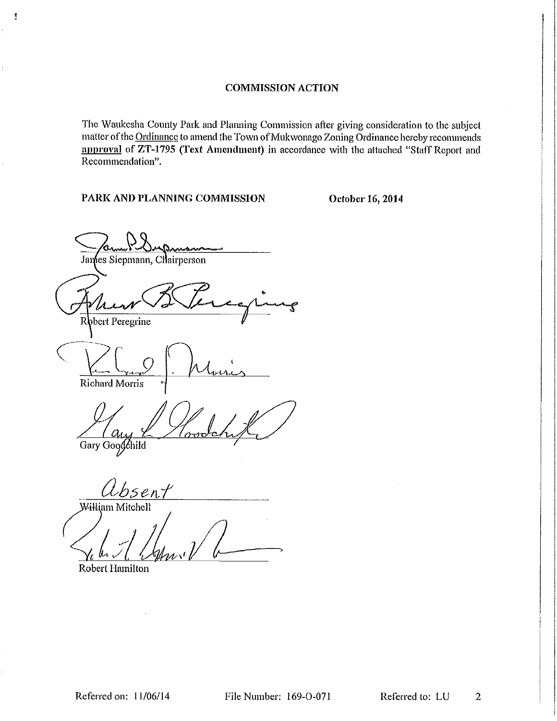The Waukesha County Park and Planning Commission after giving consideration to the subject matter of the Ordinance to amend the Town of Mukwonago Zoning Ordinance hereby recommends approval of ZT-1795 (Text Amendment) in accordance with the attached "Staff Report and Recommendation".

PARK AND PLANNING COMMISSION

i.

October 16, 2014

Wansna James Siepmann, Chairperson Robert Peregrine **Richard Morris** Gary Goodchild

Ubsent William Mitchell

**Robert Hamilton** 

Referred on: 11/06/14

File Number: 169-O-071

Referred to: LU  $\overline{2}$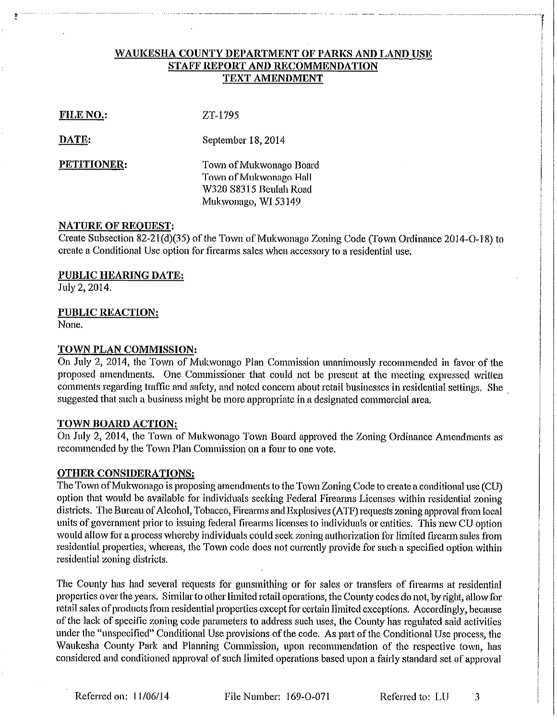# WAUKESHA COUNTY DEPARTMENT OF PARKS AND LAND USE STAFF REPORT AND RECOMMENDATION **TEXT AMENDMENT**

**FILE NO.:** 

ZT-1795

DATE:

September 18, 2014

PETITIONER:

Town of Mukwonago Board Town of Mukwonago Hall W320 S8315 Beulah Road Mukwonago, WI 53149

## **NATURE OF REQUEST:**

Create Subsection 82-21(d)(35) of the Town of Mukwonago Zoning Code (Town Ordinance 2014-O-18) to create a Conditional Use option for firearms sales when accessory to a residential use.

PUBLIC HEARING DATE:

July 2, 2014.

# **PUBLIC REACTION:**

None.

## TOWN PLAN COMMISSION:

On July 2, 2014, the Town of Mukwonago Plan Commission unanimously recommended in favor of the proposed amendments. One Commissioner that could not be present at the meeting expressed written comments regarding traffic and safety, and noted concern about retail businesses in residential settings. She suggested that such a business might be more appropriate in a designated commercial area.

# TOWN BOARD ACTION:

On July 2, 2014, the Town of Mukwonago Town Board approved the Zoning Ordinance Amendments as recommended by the Town Plan Commission on a four to one vote.

# **OTHER CONSIDERATIONS:**

The Town of Mukwonago is proposing amendments to the Town Zoning Code to create a conditional use (CU) option that would be available for individuals seeking Federal Firearms Licenses within residential zoning districts. The Bureau of Alcohol, Tobacco, Firearms and Explosives (ATF) requests zoning approval from local units of government prior to issuing federal firearms licenses to individuals or entities. This new CU option would allow for a process whereby individuals could seek zoning authorization for limited firearm sales from residential properties, whereas, the Town code does not currently provide for such a specified option within residential zoning districts.

The County has had several requests for gunsmithing or for sales or transfers of firearms at residential properties over the years. Similar to other limited retail operations, the County codes do not, by right, allow for retail sales of products from residential properties except for certain limited exceptions. Accordingly, because of the lack of specific zoning code parameters to address such uses, the County has regulated said activities under the "unspecified" Conditional Use provisions of the code. As part of the Conditional Use process, the Waukesha County Park and Planning Commission, upon recommendation of the respective town, has considered and conditioned approval of such limited operations based upon a fairly standard set of approval

Referred on: 11/06/14

File Number: 169-O-071

Referred to: LU 3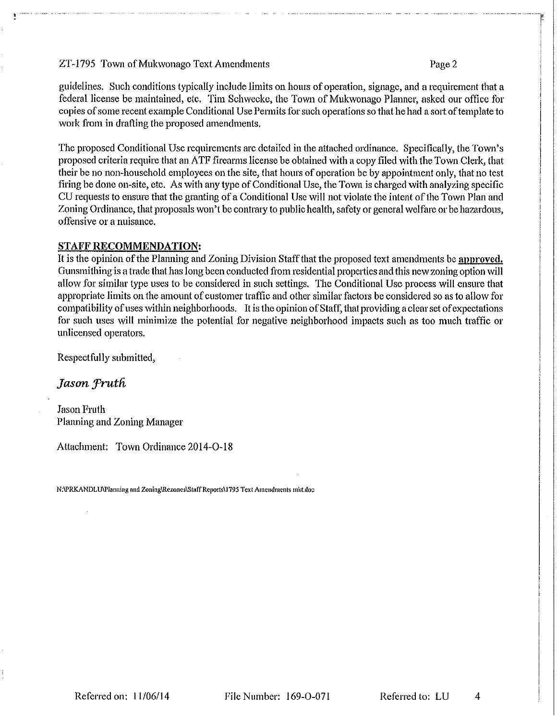### ZT-1795 Town of Mukwonago Text Amendments

### Page 2

guidelines. Such conditions typically include limits on hours of operation, signage, and a requirement that a federal license be maintained, etc. Tim Schwecke, the Town of Mukwonago Planner, asked our office for copies of some recent example Conditional Use Permits for such operations so that he had a sort of template to work from in drafting the proposed amendments.

The proposed Conditional Use requirements are detailed in the attached ordinance. Specifically, the Town's proposed criteria require that an ATF firearms license be obtained with a copy filed with the Town Clerk, that their be no non-household employees on the site, that hours of operation be by appointment only, that no test firing be done on-site, etc. As with any type of Conditional Use, the Town is charged with analyzing specific CU requests to ensure that the granting of a Conditional Use will not violate the intent of the Town Plan and Zoning Ordinance, that proposals won't be contrary to public health, safety or general welfare or be hazardous, offensive or a nuisance.

### **STAFF RECOMMENDATION:**

It is the opinion of the Planning and Zoning Division Staff that the proposed text amendments be approved. Gunsmithing is a trade that has long been conducted from residential properties and this new zoning option will allow for similar type uses to be considered in such settings. The Conditional Use process will ensure that appropriate limits on the amount of customer traffic and other similar factors be considered so as to allow for compatibility of uses within neighborhoods. It is the opinion of Staff, that providing a clear set of expectations for such uses will minimize the potential for negative neighborhood impacts such as too much traffic or unlicensed operators.

Respectfully submitted,

Jason Fruth

**Jason Fruth** Planning and Zoning Manager

Attachment: Town Ordinance 2014-O-18

N:\PRKANDLU\Planning and Zoning\Rezones\Staff Reports\1795 Text Amendments mkt.doc

File Number: 169-O-071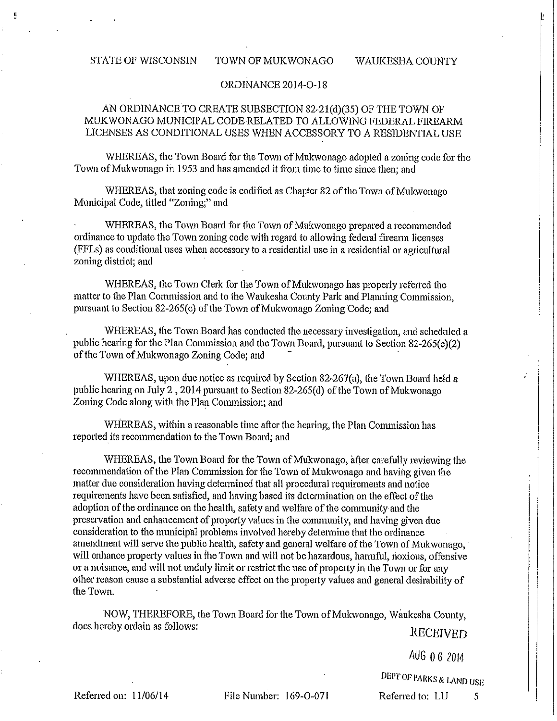#### **STATE OF WISCONSIN**

#### **WAUKESHA COUNTY**

#### ORDINANCE 2014-O-18

TOWN OF MUKWONAGO

# AN ORDINANCE TO CREATE SUBSECTION 82-21(d)(35) OF THE TOWN OF MUKWONAGO MUNICIPAL CODE RELATED TO ALLOWING FEDERAL FIREARM LICENSES AS CONDITIONAL USES WHEN ACCESSORY TO A RESIDENTIAL USE

WHEREAS, the Town Board for the Town of Mukwonago adopted a zoning code for the Town of Mukwonago in 1953 and has amended it from time to time since then; and

WHEREAS, that zoning code is codified as Chapter 82 of the Town of Mukwonago Municipal Code, titled "Zoning," and

WHEREAS, the Town Board for the Town of Mukwonago prepared a recommended ordinance to update the Town zoning code with regard to allowing federal firearm licenses (FFLs) as conditional uses when accessory to a residential use in a residential or agricultural zoning district: and

WHEREAS, the Town Clerk for the Town of Mukwonago has properly referred the matter to the Plan Commission and to the Waukesha County Park and Planning Commission, pursuant to Section 82-265(c) of the Town of Mukwonago Zoning Code; and

WHEREAS, the Town Board has conducted the necessary investigation, and scheduled a public hearing for the Plan Commission and the Town Board, pursuant to Section 82-265(c)(2) of the Town of Mukwonago Zoning Code; and

WHEREAS, upon due notice as required by Section 82-267(a), the Town Board held a public hearing on July 2, 2014 pursuant to Section 82-265(d) of the Town of Mukwonago Zoning Code along with the Plan Commission; and

WHEREAS, within a reasonable time after the hearing, the Plan Commission has reported its recommendation to the Town Board; and

WHEREAS, the Town Board for the Town of Mukwonago, after carefully reviewing the recommendation of the Plan Commission for the Town of Mukwonago and having given the matter due consideration having determined that all procedural requirements and notice requirements have been satisfied, and having based its determination on the effect of the adoption of the ordinance on the health, safety and welfare of the community and the preservation and enhancement of property values in the community, and having given due consideration to the municipal problems involved hereby determine that the ordinance amendment will serve the public health, safety and general welfare of the Town of Mukwonago, will enhance property values in the Town and will not be hazardous, harmful, noxious, offensive or a nuisance, and will not unduly limit or restrict the use of property in the Town or for any other reason cause a substantial adverse effect on the property values and general desirability of the Town.

NOW, THEREFORE, the Town Board for the Town of Mukwonago, Waukesha County, does hereby ordain as follows:

RECEIVED

AUG 0 6 2014

DEPT OF PARKS & LAND USE

Referred on: 11/06/14

File Number: 169-O-071

Referred to: LU 5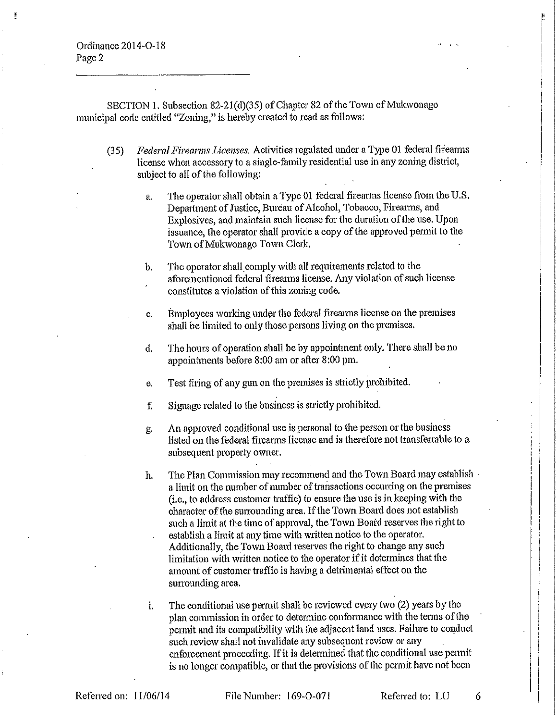Ordinance 2014-O-18 Page 2

SECTION 1. Subsection 82-21(d)(35) of Chapter 82 of the Town of Mukwonago municipal code entitled "Zoning," is hereby created to read as follows:

- Federal Firearms Licenses. Activities regulated under a Type 01 federal firearms  $(35)$ license when accessory to a single-family residential use in any zoning district, subject to all of the following:
	- The operator shall obtain a Type 01 federal firearms license from the U.S. a. Department of Justice, Bureau of Alcohol, Tobacco, Firearms, and Explosives, and maintain such license for the duration of the use. Upon issuance, the operator shall provide a copy of the approved permit to the Town of Mukwonago Town Clerk.
	- The operator shall comply with all requirements related to the  $\mathbf{b}$ . aforementioned federal firearms license. Any violation of such license constitutes a violation of this zoning code.
	- Employees working under the federal firearms license on the premises c. shall be limited to only those persons living on the premises.
	- The hours of operation shall be by appointment only. There shall be no đ. appointments before 8:00 am or after 8:00 pm.
	- Test firing of any gun on the premises is strictly prohibited. e.
	- Signage related to the business is strictly prohibited. f.
	- An approved conditional use is personal to the person or the business g. listed on the federal firearms license and is therefore not transferrable to a subsequent property owner.
	- The Plan Commission may recommend and the Town Board may establish . h. a limit on the number of number of transactions occurring on the premises (*i.e.*, to address customer traffic) to ensure the use is in keeping with the character of the surrounding area. If the Town Board does not establish such a limit at the time of approval, the Town Board reserves the right to establish a limit at any time with written notice to the operator. Additionally, the Town Board reserves the right to change any such limitation with written notice to the operator if it determines that the amount of customer traffic is having a detrimental effect on the surrounding area.
	- The conditional use permit shall be reviewed every two (2) years by the  $\mathbf{i}$ . plan commission in order to determine conformance with the terms of the permit and its compatibility with the adjacent land uses. Failure to conduct such review shall not invalidate any subsequent review or any enforcement proceeding. If it is determined that the conditional use permit is no longer compatible, or that the provisions of the permit have not been

File Number: 169-O-071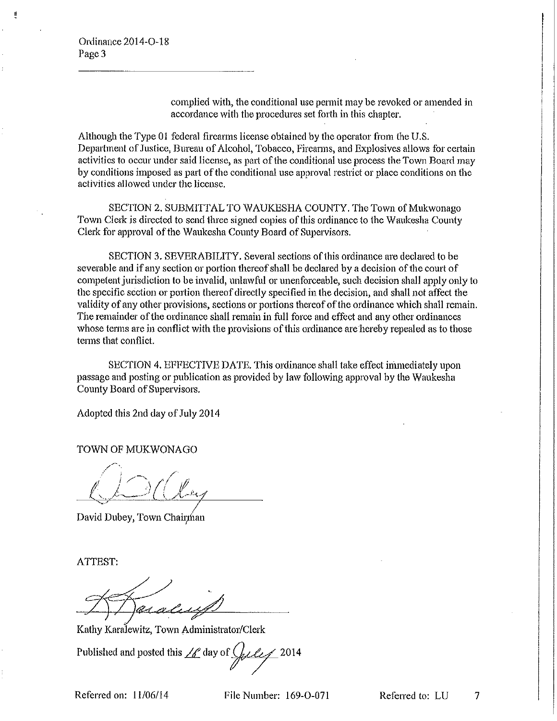complied with, the conditional use permit may be revoked or amended in accordance with the procedures set forth in this chapter.

Although the Type 01 federal firearms license obtained by the operator from the U.S. Department of Justice, Bureau of Alcohol, Tobacco, Firearms, and Explosives allows for certain activities to occur under said license, as part of the conditional use process the Town Board may by conditions imposed as part of the conditional use approval restrict or place conditions on the activities allowed under the license.

SECTION 2. SUBMITTAL TO WAUKESHA COUNTY. The Town of Mukwonago Town Clerk is directed to send three signed copies of this ordinance to the Waukesha County Clerk for approval of the Waukesha County Board of Supervisors.

SECTION 3. SEVERABILITY. Several sections of this ordinance are declared to be severable and if any section or portion thereof shall be declared by a decision of the court of competent jurisdiction to be invalid, unlawful or unenforceable, such decision shall apply only to the specific section or portion thereof directly specified in the decision, and shall not affect the validity of any other provisions, sections or portions thereof of the ordinance which shall remain. The remainder of the ordinance shall remain in full force and effect and any other ordinances whose terms are in conflict with the provisions of this ordinance are hereby repealed as to those terms that conflict.

SECTION 4. EFFECTIVE DATE. This ordinance shall take effect immediately upon passage and posting or publication as provided by law following approval by the Waukesha County Board of Supervisors.

Adopted this 2nd day of July 2014

TOWN OF MUKWONAGO

David Dubey, Town Chairman

ATTEST:

<u>as a</u>

Kathy Karalewitz, Town Administrator/Clerk

Published and posted this  $\angle$  day of  $\angle$  $~12014$ 

Referred on: 11/06/14

File Number: 169-O-071